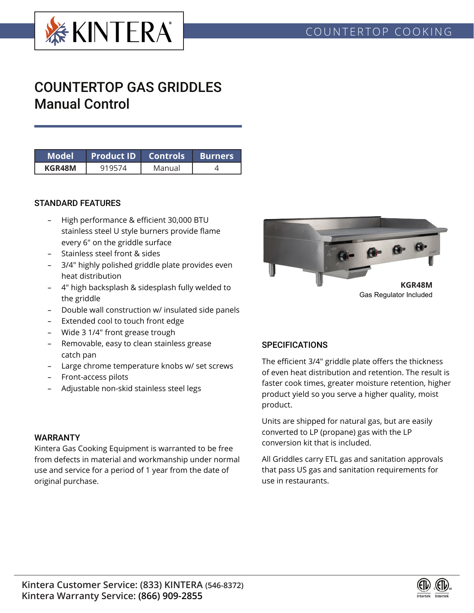

# COUNTERTOP GAS GRIDDLES Manual Control

| Model' | Product ID Controls Burners |        |  |
|--------|-----------------------------|--------|--|
| KGR48M |                             | Manual |  |

#### STANDARD FEATURES

- High performance & efficient 30,000 BTU stainless steel U style burners provide flame every 6" on the griddle surface
- Stainless steel front & sides
- 3/4" highly polished griddle plate provides even heat distribution
- 4" high backsplash & sidesplash fully welded to the griddle
- Double wall construction w/ insulated side panels
- Extended cool to touch front edge
- Wide 3 1/4" front grease trough
- Removable, easy to clean stainless grease catch pan
- Large chrome temperature knobs w/ set screws
- Front-access pilots
- Adjustable non-skid stainless steel legs

#### WARRANTY

Kintera Gas Cooking Equipment is warranted to be free from defects in material and workmanship under normal use and service for a period of 1 year from the date of original purchase.



Gas Regulator Included

## **SPECIFICATIONS**

The efficient 3/4" griddle plate offers the thickness of even heat distribution and retention. The result is faster cook times, greater moisture retention, higher product yield so you serve a higher quality, moist product.

Units are shipped for natural gas, but are easily converted to LP (propane) gas with the LP conversion kit that is included.

All Griddles carry ETL gas and sanitation approvals that pass US gas and sanitation requirements for use in restaurants.